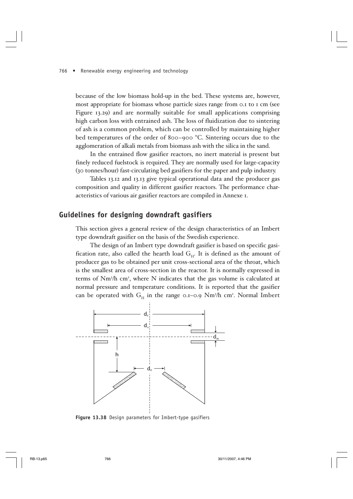because of the low biomass hold-up in the bed. These systems are, however, most appropriate for biomass whose particle sizes range from 0.1 to 1 cm (see Figure 13.29) and are normally suitable for small applications comprising high carbon loss with entrained ash. The loss of fluidization due to sintering of ash is a common problem, which can be controlled by maintaining higher bed temperatures of the order of 800–900 ºC. Sintering occurs due to the agglomeration of alkali metals from biomass ash with the silica in the sand.

In the entrained flow gasifier reactors, no inert material is present but finely reduced fuelstock is required. They are normally used for large-capacity (30 tonnes/hour) fast-circulating bed gasifiers for the paper and pulp industry.

Tables 13.12 and 13.13 give typical operational data and the producer gas composition and quality in different gasifier reactors. The performance characteristics of various air gasifier reactors are compiled in Annexe 1.

### **Guidelines for designing downdraft gasifiers**

This section gives a general review of the design characteristics of an Imbert type downdraft gasifier on the basis of the Swedish experience.

The design of an Imbert type downdraft gasifier is based on specific gasification rate, also called the hearth load  $G_H$ . It is defined as the amount of producer gas to be obtained per unit cross-sectional area of the throat, which is the smallest area of cross-section in the reactor. It is normally expressed in terms of Nm<sup>3</sup> /h cm<sup>2</sup> , where N indicates that the gas volume is calculated at normal pressure and temperature conditions. It is reported that the gasifier can be operated with  $\mathrm{G}_{\rm H}$  in the range 0.1–0.9 Nm3/h cm<sup>2</sup>. Normal Imbert



**Figure 13.38** Design parameters for Imbert-type gasifiers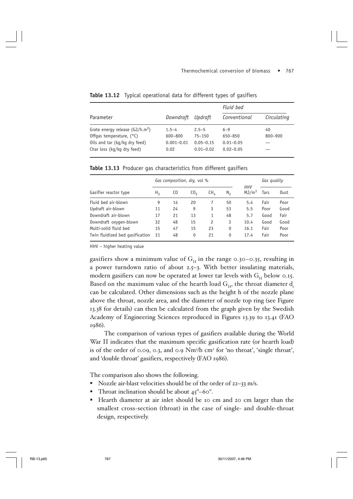|                                   |                |               | Fluid bed     |             |  |
|-----------------------------------|----------------|---------------|---------------|-------------|--|
| Parameter                         | Downdraft      | Updraft       | Conventional  | Circulating |  |
| Grate energy release $(GJ/h.m^2)$ | $1.5 - 4$      | $2.5 - 5$     | $6 - 9$       | 40          |  |
| Offgas temperature, $(°C)$        | 600-800        | $75 - 150$    | 650-850       | 800-900     |  |
| Oils and tar (kg/kg dry feed)     | $0.001 - 0.01$ | $0.05 - 0.15$ | $0.01 - 0.05$ |             |  |
| Char loss (kg/kg dry feed)        | 0.02           | $0.01 - 0.02$ | $0.02 - 0.05$ |             |  |

**Table 13.12** Typical operational data for different types of gasifiers

|  |  | Table 13.13 Producer gas characteristics from different gasifiers |  |  |
|--|--|-------------------------------------------------------------------|--|--|
|  |  |                                                                   |  |  |

|                                 | Gas composition, dry, vol % |     |                 | Gas quality     |          |                                 |             |      |
|---------------------------------|-----------------------------|-----|-----------------|-----------------|----------|---------------------------------|-------------|------|
| Gasifier reactor type           | H,                          | CO. | CO <sub>2</sub> | CH <sub>2</sub> | $N_{2}$  | <b>HHV</b><br>MJ/m <sup>3</sup> | <b>Tars</b> | Dust |
| Fluid bed air-blown             | 9                           | 14  | 20              |                 | 50       | 5.4                             | Fair        | Poor |
| Updraft air-blown               | 11                          | 24  | 9               | 3               | 53       | 5.5                             | Poor        | Good |
| Downdraft air-blown             | 17                          | 21  | 13              | 1               | 48       | 5.7                             | Good        | Fair |
| Downdraft oxygen-blown          | 32                          | 48  | 15              | 2               | 3        | 10.4                            | Good        | Good |
| Multi-solid fluid bed           | 15                          | 47  | 15              | 23              | $\Omega$ | 16.1                            | Fair        | Poor |
| Twin fluidized bed gasification | 31                          | 48  | 0               | 21              | $\Omega$ | 17.4                            | Fair        | Poor |

HHV – higher heating value

gasifiers show a minimum value of  $G_H$  in the range 0.30–0.35, resulting in a power turndown ratio of about 2.5–3. With better insulating materials, modern gasifiers can now be operated at lower tar levels with  $G_H$  below 0.15. Based on the maximum value of the hearth load  $G_H$ , the throat diameter  $d_t$ can be calculated. Other dimensions such as the height h of the nozzle plane above the throat, nozzle area, and the diameter of nozzle top ring (see Figure 13.38 for details) can then be calculated from the graph given by the Swedish Academy of Engineering Sciences reproduced in Figures 13.39 to 13.41 (FAO 1986).

The comparison of various types of gasifiers available during the World War II indicates that the maximum specific gasification rate (or hearth load) is of the order of 0.09, 0.3, and 0.9 Nm<sup>3</sup> /h cm<sup>2</sup> for 'no throat', 'single throat', and 'double throat' gasifiers, respectively (FAO 1986).

The comparison also shows the following.

- Nozzle air-blast velocities should be of the order of  $22-33$  m/s.
- Throat inclination should be about  $45^{\circ} 60^{\circ}$ .
- Hearth diameter at air inlet should be 10 cm and 20 cm larger than the smallest cross-section (throat) in the case of single- and double-throat design, respectively.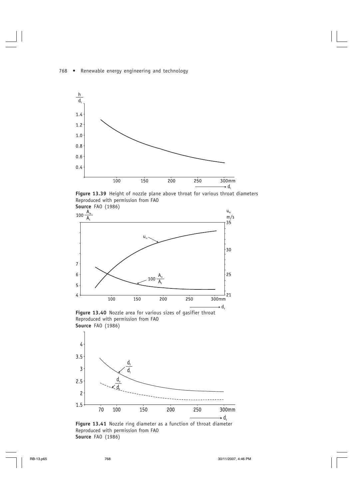768 • Renewable energy engineering and technology



**Figure 13.39** Height of nozzle plane above throat for various throat diameters Reproduced with permission from FAO **Source** FAO (1986)



**Figure 13.40** Nozzle area for various sizes of gasifier throat Reproduced with permission from FAO **Source** FAO (1986)



**Figure 13.41** Nozzle ring diameter as a function of throat diameter Reproduced with permission from FAO **Source** FAO (1986)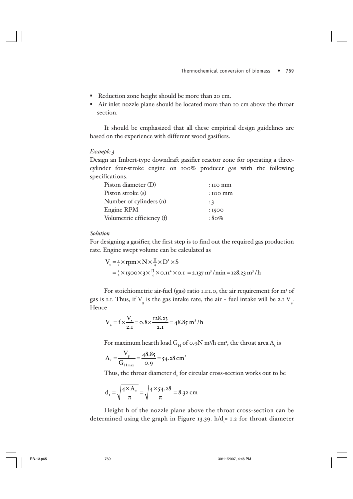- Reduction zone height should be more than 20 cm.
- Air inlet nozzle plane should be located more than 10 cm above the throat section.

It should be emphasized that all these empirical design guidelines are based on the experience with different wood gasifiers.

### Example 3

Design an Imbert-type downdraft gasifier reactor zone for operating a threecylinder four-stroke engine on 100% producer gas with the following specifications.

| Piston diameter $(D)$     | $:$ IIO $mm$ |
|---------------------------|--------------|
| Piston stroke (s)         | $:$ 100 mm   |
| Number of cylinders (n)   | : 3          |
| Engine RPM                | :1500        |
| Volumetric efficiency (f) | $:80\%$      |

### Solution

For designing a gasifier, the first step is to find out the required gas production rate. Engine swept volume can be calculated as

$$
V_s = \frac{1}{2} \times rpm \times N \times \frac{\Pi}{4} \times D^2 \times S
$$
  
=  $\frac{1}{2} \times r500 \times 3 \times \frac{\Pi}{4} \times 0.1r^2 \times 0.1 = 2.137 \text{ m}^3/\text{min} = 128.23 \text{ m}^3/\text{h}$ 

For stoichiometric air-fuel (gas) ratio 1.1:1.0, the air requirement for m<sup>3</sup> of gas is 1.1. Thus, if  $\rm V_g^{}$  is the gas intake rate, the air + fuel intake will be 2.1  $\rm V_g^{}$ . Hence

$$
V_g = f \times \frac{V_s}{2.1} = 0.8 \times \frac{128.23}{2.1} = 48.85 \text{ m}^3/\text{h}
$$

For maximum hearth load G<sub>H</sub> of 0.9N m3/h cm<sup>2</sup>, the throat area A<sub>t</sub> is

$$
A_{t} = \frac{V_{g}}{G_{H_{max}}} = \frac{48.85}{0.9} = 54.28
$$
 cm<sup>2</sup>

Thus, the throat diameter  $\mathrm{d}_{\mathrm{t}}$  for circular cross-section works out to be

$$
d_t = \sqrt{\frac{4 \times A_t}{\pi}} = \sqrt{\frac{4 \times 54.28}{\pi}} = 8.32
$$
 cm

Height h of the nozzle plane above the throat cross-section can be determined using the graph in Figure 13.39.  $\text{h/d}_{\text{t}}$ = 1.2 for throat diameter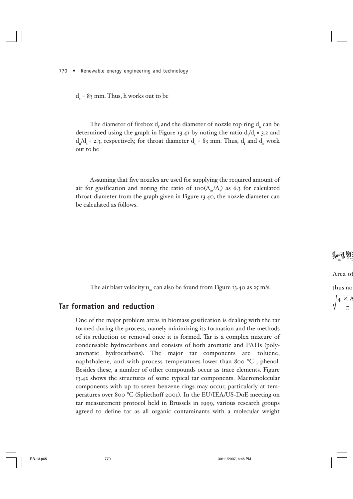$d_t$  = 83 mm. Thus, h works out to be

The diameter of firebox  $d_f$  and the diameter of nozzle top ring  $d_n$  can be determined using the graph in Figure 13.41 by noting the ratio  $d/d_t = 3.2$  and  $d_n/d_t = 2.3$ , respectively, for throat diameter  $d_t = 83$  mm. Thus,  $d_f$  and  $d_n$  work out to be

Assuming that five nozzles are used for supplying the required amount of air for gasification and noting the ratio of  $\text{100}(A_m/A_c)$  as 6.3 for calculated throat diameter from the graph given in Figure 13.40, the nozzle diameter can be calculated as follows.

The air blast velocity  $u_m$  can also be found from Figure 13.40 as 25 m/s.

### **Tar formation and reduction**

One of the major problem areas in biomass gasification is dealing with the tar formed during the process, namely minimizing its formation and the methods of its reduction or removal once it is formed. Tar is a complex mixture of condensable hydrocarbons and consists of both aromatic and PAHs (polyaromatic hydrocarbons). The major tar components are toluene, naphthalene, and with process temperatures lower than 800 ºC , phenol. Besides these, a number of other compounds occur as trace elements. Figure 13.42 shows the structures of some typical tar components. Macromolecular components with up to seven benzene rings may occur, particularly at temperatures over 800 ºC (Spliethoff 2001). In the EU/IEA/US-DoE meeting on tar measurement protocol held in Brussels in 1999, various research groups agreed to define tar as all organic contaminants with a molecular weight



Area of

thus no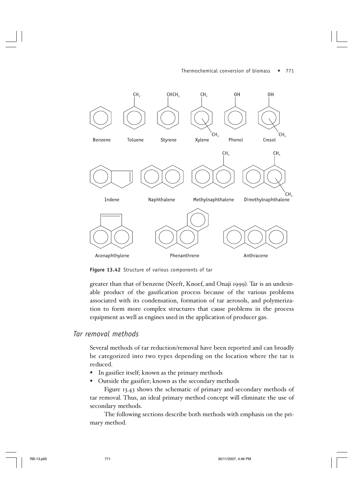

**Figure 13.42** Structure of various components of tar

greater than that of benzene (Neeft, Knoef, and Onaji 1999). Tar is an undesirable product of the gasification process because of the various problems associated with its condensation, formation of tar aerosols, and polymerization to form more complex structures that cause problems in the process equipment as well as engines used in the application of producer gas.

### *Tar removal methods*

Several methods of tar reduction/removal have been reported and can broadly be categorized into two types depending on the location where the tar is reduced.

- $\blacksquare$  In gasifier itself; known as the primary methods
- Outside the gasifier; known as the secondary methods

Figure 13.43 shows the schematic of primary and secondary methods of tar removal. Thus, an ideal primary method concept will eliminate the use of secondary methods.

The following sections describe both methods with emphasis on the primary method.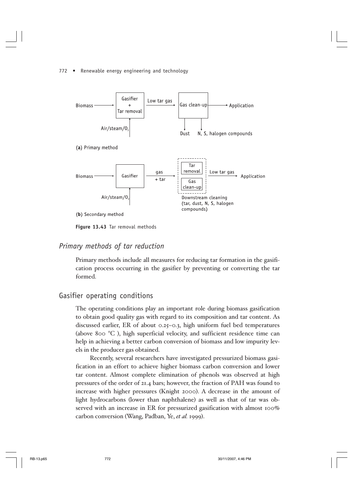



**Figure 13.43** Tar removal methods

# *Primary methods of tar reduction*

Primary methods include all measures for reducing tar formation in the gasification process occurring in the gasifier by preventing or converting the tar formed.

## Gasifier operating conditions

The operating conditions play an important role during biomass gasification to obtain good quality gas with regard to its composition and tar content. As discussed earlier, ER of about 0.25–0.3, high uniform fuel bed temperatures (above 800 ºC ), high superficial velocity, and sufficient residence time can help in achieving a better carbon conversion of biomass and low impurity levels in the producer gas obtained.

Recently, several researchers have investigated pressurized biomass gasification in an effort to achieve higher biomass carbon conversion and lower tar content. Almost complete elimination of phenols was observed at high pressures of the order of 21.4 bars; however, the fraction of PAH was found to increase with higher pressures (Knight 2000). A decrease in the amount of light hydrocarbons (lower than naphthalene) as well as that of tar was observed with an increase in ER for pressurized gasification with almost 100% carbon conversion (Wang, Padban, Ye, et al. 1999).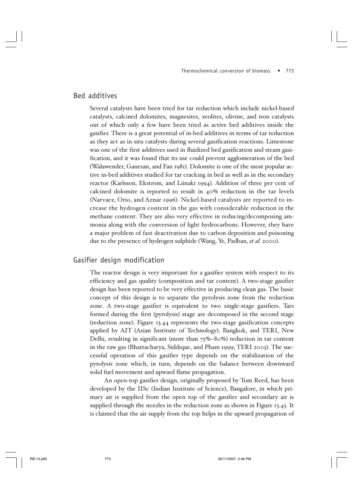# Bed additives

Several catalysts have been tried for tar reduction which include nickel-based catalysts, calcined dolomites, magnesites, zeolites, olivine, and iron catalysts out of which only a few have been tried as active bed additives inside the gasifier. There is a great potential of in-bed additives in terms of tar reduction as they act as in situ catalysts during several gasification reactions. Limestone was one of the first additives used in fluidized bed gasification and steam gasification, and it was found that its use could prevent agglomeration of the bed (Walawender, Ganesan, and Fan 1981). Dolomite is one of the most popular active in-bed additives studied for tar cracking in bed as well as in the secondary reactor (Karlsson, Ekstrom, and Liinaki 1994). Addition of three per cent of calcined dolomite is reported to result in 40% reduction in the tar levels (Narvaez, Orio, and Aznar 1996). Nickel-based catalysts are reported to increase the hydrogen content in the gas with considerable reduction in the methane content. They are also very effective in reducing/decomposing ammonia along with the conversion of light hydrocarbons. However, they have a major problem of fast deactivation due to carbon deposition and poisoning due to the presence of hydrogen sulphide (Wang, Ye, Padban, et al. 2000).

### Gasifier design modification

The reactor design is very important for a gasifier system with respect to its efficiency and gas quality (composition and tar content). A two-stage gasifier design has been reported to be very effective in producing clean gas. The basic concept of this design is to separate the pyrolysis zone from the reduction zone. A two-stage gasifier is equivalent to two single-stage gasifiers. Tars formed during the first (pyrolysis) stage are decomposed in the second stage (reduction zone). Figure 13.44 represents the two-stage gasification concepts applied by AIT (Asian Institute of Technology), Bangkok, and TERI, New Delhi, resulting in significant (more than 75%–80%) reduction in tar content in the raw gas (Bhattacharya, Siddique, and Pham 1999; TERI 2005). The successful operation of this gasifier type depends on the stabilization of the pyrolysis zone which, in turn, depends on the balance between downward solid fuel movement and upward flame propagation.

An open-top gasifier design, originally proposed by Tom Reed, has been developed by the IISc (Indian Institute of Science), Bangalore, in which primary air is supplied from the open top of the gasifier and secondary air is supplied through the nozzles in the reduction zone as shown in Figure 13.45. It is claimed that the air supply from the top helps in the upward propagation of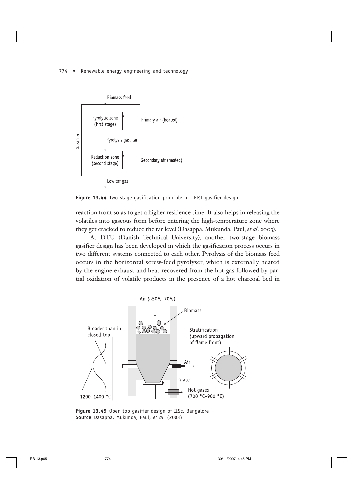

**Figure 13.44** Two-stage gasification principle in TERI gasifier design

reaction front so as to get a higher residence time. It also helps in releasing the volatiles into gaseous form before entering the high-temperature zone where they get cracked to reduce the tar level (Dasappa, Mukunda, Paul, et al. 2003).

At DTU (Danish Technical University), another two-stage biomass gasifier design has been developed in which the gasification process occurs in two different systems connected to each other. Pyrolysis of the biomass feed occurs in the horizontal screw-feed pyrolyser, which is externally heated by the engine exhaust and heat recovered from the hot gas followed by partial oxidation of volatile products in the presence of a hot charcoal bed in



**Figure 13.45** Open top gasifier design of IISc, Bangalore **Source** Dasappa, Mukunda, Paul, *et al.* (2003)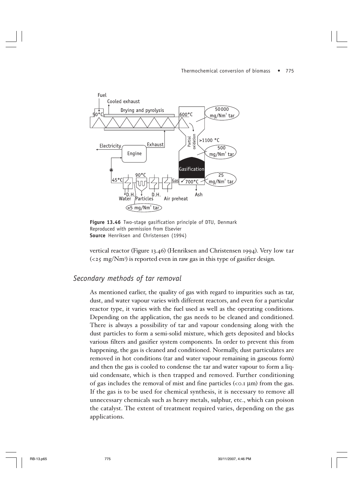

**Figure 13.46** Two-stage gasification principle of DTU, Denmark Reproduced with permission from Elsevier **Source** Henriksen and Christensen (1994)

vertical reactor (Figure 13.46) (Henriksen and Christensen 1994). Very low tar (<25 mg/Nm<sup>3</sup> ) is reported even in raw gas in this type of gasifier design.

## *Secondary methods of tar removal*

As mentioned earlier, the quality of gas with regard to impurities such as tar, dust, and water vapour varies with different reactors, and even for a particular reactor type, it varies with the fuel used as well as the operating conditions. Depending on the application, the gas needs to be cleaned and conditioned. There is always a possibility of tar and vapour condensing along with the dust particles to form a semi-solid mixture, which gets deposited and blocks various filters and gasifier system components. In order to prevent this from happening, the gas is cleaned and conditioned. Normally, dust particulates are removed in hot conditions (tar and water vapour remaining in gaseous form) and then the gas is cooled to condense the tar and water vapour to form a liquid condensate, which is then trapped and removed. Further conditioning of gas includes the removal of mist and fine particles  $(\langle \circ \rangle$  um) from the gas. If the gas is to be used for chemical synthesis, it is necessary to remove all unnecessary chemicals such as heavy metals, sulphur, etc., which can poison the catalyst. The extent of treatment required varies, depending on the gas applications.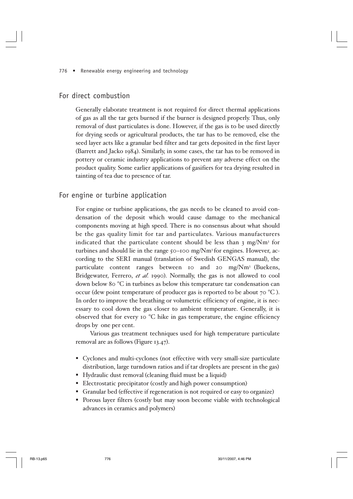## For direct combustion

Generally elaborate treatment is not required for direct thermal applications of gas as all the tar gets burned if the burner is designed properly. Thus, only removal of dust particulates is done. However, if the gas is to be used directly for drying seeds or agricultural products, the tar has to be removed, else the seed layer acts like a granular bed filter and tar gets deposited in the first layer (Barrett and Jacko 1984). Similarly, in some cases, the tar has to be removed in pottery or ceramic industry applications to prevent any adverse effect on the product quality. Some earlier applications of gasifiers for tea drying resulted in tainting of tea due to presence of tar.

### For engine or turbine application

For engine or turbine applications, the gas needs to be cleaned to avoid condensation of the deposit which would cause damage to the mechanical components moving at high speed. There is no consensus about what should be the gas quality limit for tar and particulates. Various manufacturers indicated that the particulate content should be less than 3 mg/Nm<sup>3</sup> for turbines and should lie in the range 50–100 mg/Nm3 for engines. However, according to the SERI manual (translation of Swedish GENGAS manual), the particulate content ranges between 10 and 20 mg/ $Nm^3$  (Buekens, Bridgewater, Ferrero, et al. 1990). Normally, the gas is not allowed to cool down below 80 ºC in turbines as below this temperature tar condensation can occur (dew point temperature of producer gas is reported to be about  $70^{\circ}$ C). In order to improve the breathing or volumetric efficiency of engine, it is necessary to cool down the gas closer to ambient temperature. Generally, it is observed that for every 10 ºC hike in gas temperature, the engine efficiency drops by one per cent.

Various gas treatment techniques used for high temperature particulate removal are as follows (Figure 13.47).

- Cyclones and multi-cyclones (not effective with very small-size particulate distribution, large turndown ratios and if tar droplets are present in the gas)
- Hydraulic dust removal (cleaning fluid must be a liquid)
- Electrostatic precipitator (costly and high power consumption)
- Granular bed (effective if regeneration is not required or easy to organize)
- Porous layer filters (costly but may soon become viable with technological advances in ceramics and polymers)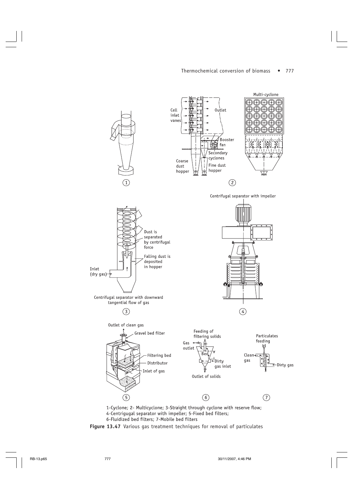

1-Cyclone; 2- Multicyclone; 3-Straight through cyclone with reserve flow; 4-Centrigugal separator with impeller; 5-Fixed bed filters; 6-Fluidized bed filters; 7-Mobile bed filters

**Figure 13.47** Various gas treatment techniques for removal of particulates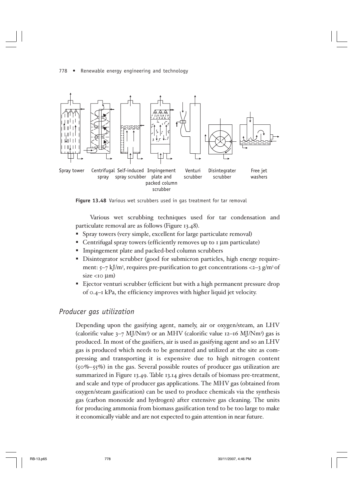

**Figure 13.48** Various wet scrubbers used in gas treatment for tar removal

Various wet scrubbing techniques used for tar condensation and particulate removal are as follows (Figure 13.48).

- Spray towers (very simple, excellent for large particulate removal)
- Centrifugal spray towers (efficiently removes up to 1 µm particulate)
- Impingement plate and packed-bed column scrubbers
- Disintegrator scrubber (good for submicron particles, high energy requirement: 5–7 kJ/m<sup>3</sup>, requires pre-purification to get concentrations <2–3 g/m<sup>3</sup> of  $size <$ 10  $µm)$
- Ejector venturi scrubber (efficient but with a high permanent pressure drop of 0.4–1 kPa, the efficiency improves with higher liquid jet velocity.

## *Producer gas utilization*

Depending upon the gasifying agent, namely, air or oxygen/steam, an LHV (calorific value 3–7 MJ/Nm<sup>3</sup>) or an MHV (calorific value 12–16 MJ/Nm<sup>3</sup>) gas is produced. In most of the gasifiers, air is used as gasifying agent and so an LHV gas is produced which needs to be generated and utilized at the site as compressing and transporting it is expensive due to high nitrogen content (50%–55%) in the gas. Several possible routes of producer gas utilization are summarized in Figure 13.49. Table 13.14 gives details of biomass pre-treatment, and scale and type of producer gas applications. The MHV gas (obtained from oxygen/steam gasification) can be used to produce chemicals via the synthesis gas (carbon monoxide and hydrogen) after extensive gas cleaning. The units for producing ammonia from biomass gasification tend to be too large to make it economically viable and are not expected to gain attention in near future.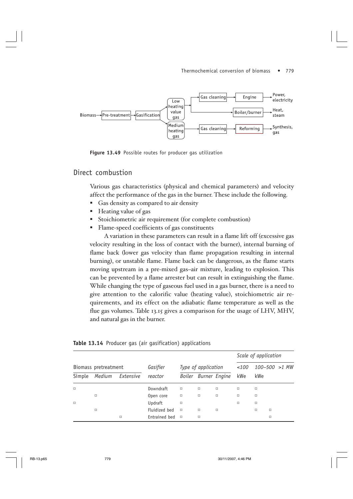

**Figure 13.49** Possible routes for producer gas utilization

# Direct combustion

Various gas characteristics (physical and chemical parameters) and velocity affect the performance of the gas in the burner. These include the following.

- Gas density as compared to air density
- Heating value of gas
- Stoichiometric air requirement (for complete combustion)
- Flame-speed coefficients of gas constituents

A variation in these parameters can result in a flame lift off (excessive gas velocity resulting in the loss of contact with the burner), internal burning of flame back (lower gas velocity than flame propagation resulting in internal burning), or unstable flame. Flame back can be dangerous, as the flame starts moving upstream in a pre-mixed gas–air mixture, leading to explosion. This can be prevented by a flame arrester but can result in extinguishing the flame. While changing the type of gaseous fuel used in a gas burner, there is a need to give attention to the calorific value (heating value), stoichiometric air requirements, and its effect on the adiabatic flame temperature as well as the flue gas volumes. Table 13.15 gives a comparison for the usage of LHV, MHV, and natural gas in the burner.

|        |                      |           |                     |          |                  |                      | Scale of application |                      |  |  |
|--------|----------------------|-----------|---------------------|----------|------------------|----------------------|----------------------|----------------------|--|--|
|        | Biomass pretreatment |           | Type of application |          | 100 <sup>2</sup> |                      | $100 - 500 > 1 MW$   |                      |  |  |
| Simple | Medium               | Extensive | reactor             |          |                  | Boiler Burner Engine | kWe                  | kWe                  |  |  |
| a      |                      |           | Downdraft           | $\alpha$ | $\alpha$         | $\alpha$             | $\Box$               | $\alpha$             |  |  |
|        | $\alpha$             |           | Open core           | $\alpha$ | $\alpha$         | ¤                    | $\alpha$             | $\alpha$             |  |  |
| a      |                      |           | Updraft             | $\alpha$ |                  |                      | $\alpha$             | $\alpha$             |  |  |
|        | ¤                    |           | Fluidized bed       | $\alpha$ | $\alpha$         | ¤                    |                      | $\alpha$<br>$\alpha$ |  |  |
|        |                      | ¤         | Entrained bed       | $\alpha$ | ¤                |                      |                      | $\alpha$             |  |  |

**Table 13.14** Producer gas (air gasification) applications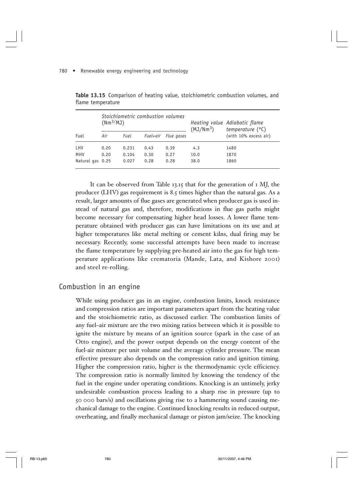|                  | (Nm <sup>3</sup> /MJ) |       | Stoichiometric combustion volumes |                     | (MJ/Nm <sup>3</sup> ) | Heating value Adiabatic flame<br>temperature $(°C)$<br>(with 10% excess air) |  |
|------------------|-----------------------|-------|-----------------------------------|---------------------|-----------------------|------------------------------------------------------------------------------|--|
| Fuel             | Air                   | Fuel  |                                   | Fuel+air Flue gases |                       |                                                                              |  |
| LHV              | 0.20                  | 0.231 | 0.43                              | 0.39                | 4.3                   | 1480                                                                         |  |
| MHV              | 0.20                  | 0.104 | 0.30                              | 0.27                | 10.0                  | 1870                                                                         |  |
| Natural gas 0.25 |                       | 0.027 | 0.28                              | 0.28                | 38.0                  | 1860                                                                         |  |

**Table 13.15** Comparison of heating value, stoichiometric combustion volumes, and flame temperature

It can be observed from Table 13.15 that for the generation of 1 MJ, the producer (LHV) gas requirement is 8.5 times higher than the natural gas. As a result, larger amounts of flue gases are generated when producer gas is used instead of natural gas and, therefore, modifications in flue gas paths might become necessary for compensating higher head losses. A lower flame temperature obtained with producer gas can have limitations on its use and at higher temperatures like metal melting or cement kilns, dual firing may be necessary. Recently, some successful attempts have been made to increase the flame temperature by supplying pre-heated air into the gas for high temperature applications like crematoria (Mande, Lata, and Kishore 2001) and steel re-rolling.

### Combustion in an engine

While using producer gas in an engine, combustion limits, knock resistance and compression ratios are important parameters apart from the heating value and the stoichiometric ratio, as discussed earlier. The combustion limits of any fuel–air mixture are the two mixing ratios between which it is possible to ignite the mixture by means of an ignition source (spark in the case of an Otto engine), and the power output depends on the energy content of the fuel-air mixture per unit volume and the average cylinder pressure. The mean effective pressure also depends on the compression ratio and ignition timing. Higher the compression ratio, higher is the thermodynamic cycle efficiency. The compression ratio is normally limited by knowing the tendency of the fuel in the engine under operating conditions. Knocking is an untimely, jerky undesirable combustion process leading to a sharp rise in pressure (up to 50 000 bars/s) and oscillations giving rise to a hammering sound causing mechanical damage to the engine. Continued knocking results in reduced output, overheating, and finally mechanical damage or piston jam/seize. The knocking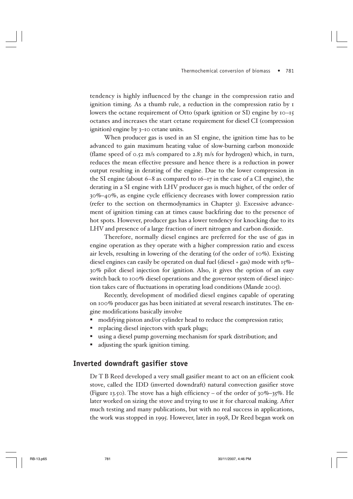tendency is highly influenced by the change in the compression ratio and ignition timing. As a thumb rule, a reduction in the compression ratio by 1 lowers the octane requirement of Otto (spark ignition or SI) engine by 10–15 octanes and increases the start cetane requirement for diesel CI (compression ignition) engine by 3–10 cetane units.

When producer gas is used in an SI engine, the ignition time has to be advanced to gain maximum heating value of slow-burning carbon monoxide (flame speed of 0.52 m/s compared to 2.83 m/s for hydrogen) which, in turn, reduces the mean effective pressure and hence there is a reduction in power output resulting in derating of the engine. Due to the lower compression in the SI engine (about 6–8 as compared to 16–17 in the case of a CI engine), the derating in a SI engine with LHV producer gas is much higher, of the order of 30%–40%, as engine cycle efficiency decreases with lower compression ratio (refer to the section on thermodynamics in Chapter 3). Excessive advancement of ignition timing can at times cause backfiring due to the presence of hot spots. However, producer gas has a lower tendency for knocking due to its LHV and presence of a large fraction of inert nitrogen and carbon dioxide.

Therefore, normally diesel engines are preferred for the use of gas in engine operation as they operate with a higher compression ratio and excess air levels, resulting in lowering of the derating (of the order of 10%). Existing diesel engines can easily be operated on dual fuel (diesel + gas) mode with 15%– 30% pilot diesel injection for ignition. Also, it gives the option of an easy switch back to 100% diesel operations and the governor system of diesel injection takes care of fluctuations in operating load conditions (Mande 2005).

Recently, development of modified diesel engines capable of operating on 100% producer gas has been initiated at several research institutes. The engine modifications basically involve

- modifying piston and/or cylinder head to reduce the compression ratio;
- replacing diesel injectors with spark plugs;
- using a diesel pump governing mechanism for spark distribution; and
- adjusting the spark ignition timing.

## **Inverted downdraft gasifier stove**

Dr T B Reed developed a very small gasifier meant to act on an efficient cook stove, called the IDD (inverted downdraft) natural convection gasifier stove (Figure 13.50). The stove has a high efficiency – of the order of 30%–35%. He later worked on sizing the stove and trying to use it for charcoal making. After much testing and many publications, but with no real success in applications, the work was stopped in 1995. However, later in 1998, Dr Reed began work on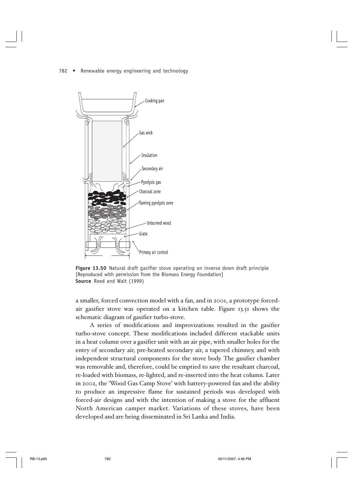

**Figure 13.50** Natural draft gasifier stove operating on inverse down draft principle [Reproduced with permission from the Biomass Energy Foundation] **Source** Reed and Walt (1999)

a smaller, forced convection model with a fan, and in 2001, a prototype forcedair gasifier stove was operated on a kitchen table. Figure 13.51 shows the schematic diagram of gasifier turbo-stove.

A series of modifications and improvizations resulted in the gasifier turbo-stove concept. These modifications included different stackable units in a heat column over a gasifier unit with an air pipe, with smaller holes for the entry of secondary air, pre-heated secondary air, a tapered chimney, and with independent structural components for the stove body. The gasifier chamber was removable and, therefore, could be emptied to save the resultant charcoal, re-loaded with biomass, re-lighted, and re-inserted into the heat column. Later in 2002, the 'Wood Gas Camp Stove' with battery-powered fan and the ability to produce an impressive flame for sustained periods was developed with forced-air designs and with the intention of making a stove for the affluent North American camper market. Variations of these stoves, have been developed and are being disseminated in Sri Lanka and India.